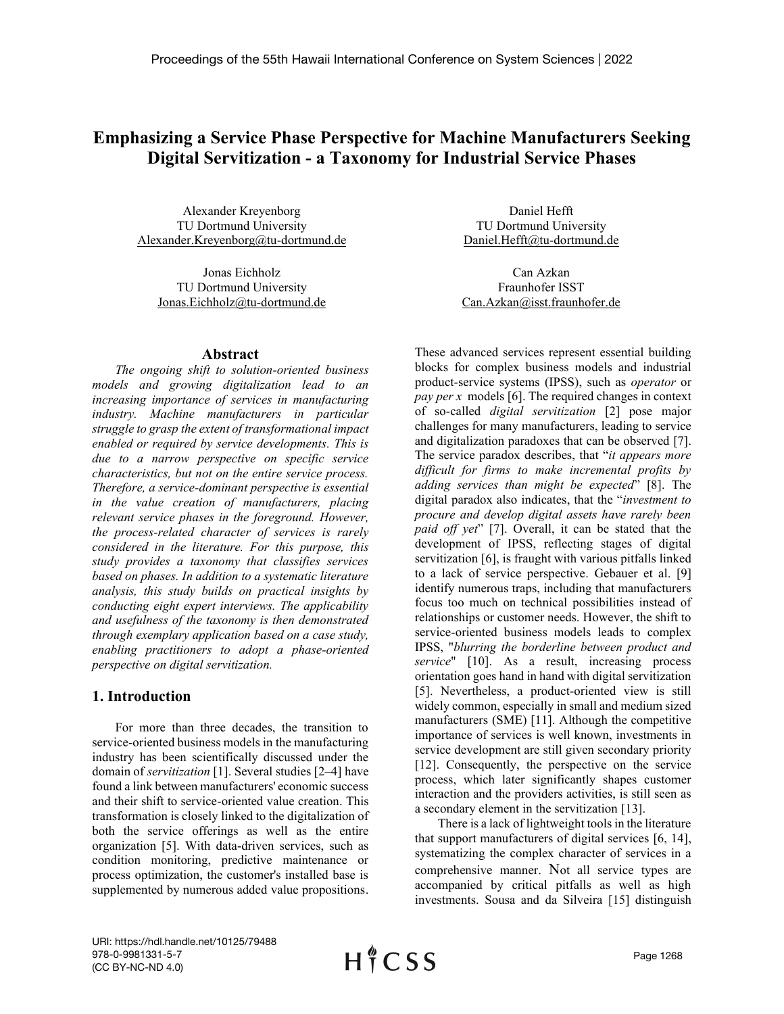# **Emphasizing a Service Phase Perspective for Machine Manufacturers Seeking Digital Servitization - a Taxonomy for Industrial Service Phases**

Alexander Kreyenborg TU Dortmund University Alexander.Kreyenborg@tu-dortmund.de

Jonas Eichholz TU Dortmund University Jonas.Eichholz@tu-dortmund.de

#### **Abstract**

*The ongoing shift to solution-oriented business models and growing digitalization lead to an increasing importance of services in manufacturing industry. Machine manufacturers in particular struggle to grasp the extent of transformational impact enabled or required by service developments. This is due to a narrow perspective on specific service characteristics, but not on the entire service process. Therefore, a service-dominant perspective is essential in the value creation of manufacturers, placing relevant service phases in the foreground. However, the process-related character of services is rarely considered in the literature. For this purpose, this study provides a taxonomy that classifies services based on phases. In addition to a systematic literature analysis, this study builds on practical insights by conducting eight expert interviews. The applicability and usefulness of the taxonomy is then demonstrated through exemplary application based on a case study, enabling practitioners to adopt a phase-oriented perspective on digital servitization.*

### **1. Introduction**

For more than three decades, the transition to service-oriented business models in the manufacturing industry has been scientifically discussed under the domain of *servitization* [1]. Several studies [2–4] have found a link between manufacturers' economic success and their shift to service-oriented value creation. This transformation is closely linked to the digitalization of both the service offerings as well as the entire organization [5]. With data-driven services, such as condition monitoring, predictive maintenance or process optimization, the customer's installed base is supplemented by numerous added value propositions.

Daniel Hefft TU Dortmund University [Daniel.Hefft@tu-dortmund.de](mailto:Daniel.Hefft@tu-dortmund.de)

Can Azkan Fraunhofer ISST Can.Azkan@isst.fraunhofer.de

These advanced services represent essential building blocks for complex business models and industrial product-service systems (IPSS), such as *operator* or *pay per x* models [6]. The required changes in context of so-called *digital servitization* [2] pose major challenges for many manufacturers, leading to service and digitalization paradoxes that can be observed [7]. The service paradox describes, that "*it appears more difficult for firms to make incremental profits by adding services than might be expected*" [8]. The digital paradox also indicates, that the "*investment to procure and develop digital assets have rarely been paid off yet*" [7]. Overall, it can be stated that the development of IPSS, reflecting stages of digital servitization [6], is fraught with various pitfalls linked to a lack of service perspective. Gebauer et al. [9] identify numerous traps, including that manufacturers focus too much on technical possibilities instead of relationships or customer needs. However, the shift to service-oriented business models leads to complex IPSS, "*blurring the borderline between product and service*" [10]. As a result, increasing process orientation goes hand in hand with digital servitization [5]. Nevertheless, a product-oriented view is still widely common, especially in small and medium sized manufacturers (SME) [11]. Although the competitive importance of services is well known, investments in service development are still given secondary priority [12]. Consequently, the perspective on the service process, which later significantly shapes customer interaction and the providers activities, is still seen as a secondary element in the servitization [13].

There is a lack of lightweight tools in the literature that support manufacturers of digital services [6, 14], systematizing the complex character of services in a comprehensive manner. Not all service types are accompanied by critical pitfalls as well as high investments. Sousa and da Silveira [15] distinguish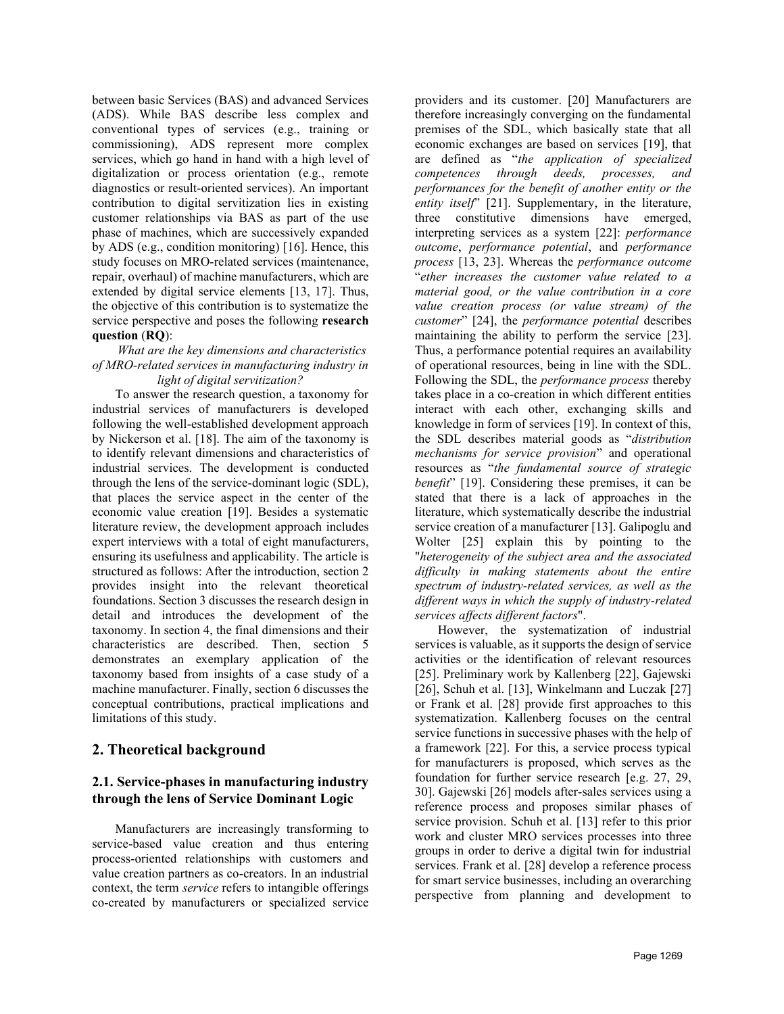between basic Services (BAS) and advanced Services (ADS). While BAS describe less complex and conventional types of services (e.g., training or commissioning), ADS represent more complex services, which go hand in hand with a high level of digitalization or process orientation (e.g., remote diagnostics or result-oriented services). An important contribution to digital servitization lies in existing customer relationships via BAS as part of the use phase of machines, which are successively expanded by ADS (e.g., condition monitoring) [16]. Hence, this study focuses on MRO-related services (maintenance, repair, overhaul) of machine manufacturers, which are extended by digital service elements [13, 17]. Thus, the objective of this contribution is to systematize the service perspective and poses the following **research question** (**RQ**):

#### *What are the key dimensions and characteristics of MRO-related services in manufacturing industry in light of digital servitization?*

To answer the research question, a taxonomy for industrial services of manufacturers is developed following the well-established development approach by Nickerson et al. [18]. The aim of the taxonomy is to identify relevant dimensions and characteristics of industrial services. The development is conducted through the lens of the service-dominant logic (SDL), that places the service aspect in the center of the economic value creation [19]. Besides a systematic literature review, the development approach includes expert interviews with a total of eight manufacturers, ensuring its usefulness and applicability. The article is structured as follows: After the introduction, section 2 provides insight into the relevant theoretical foundations. Section 3 discusses the research design in detail and introduces the development of the taxonomy. In section 4, the final dimensions and their characteristics are described. Then, section 5 demonstrates an exemplary application of the taxonomy based from insights of a case study of a machine manufacturer. Finally, section 6 discusses the conceptual contributions, practical implications and limitations of this study.

# **2. Theoretical background**

# **2.1. Service-phases in manufacturing industry through the lens of Service Dominant Logic**

Manufacturers are increasingly transforming to service-based value creation and thus entering process-oriented relationships with customers and value creation partners as co-creators. In an industrial context, the term *service* refers to intangible offerings co-created by manufacturers or specialized service

providers and its customer. [20] Manufacturers are therefore increasingly converging on the fundamental premises of the SDL, which basically state that all economic exchanges are based on services [19], that are defined as "*the application of specialized competences through deeds, processes, and performances for the benefit of another entity or the entity itself*" [21]. Supplementary, in the literature, three constitutive dimensions have emerged, interpreting services as a system [22]: *performance outcome*, *performance potential*, and *performance process* [13, 23]. Whereas the *performance outcome* "*ether increases the customer value related to a material good, or the value contribution in a core value creation process (or value stream) of the customer*" [24], the *performance potential* describes maintaining the ability to perform the service [23]. Thus, a performance potential requires an availability of operational resources, being in line with the SDL. Following the SDL, the *performance process* thereby takes place in a co-creation in which different entities interact with each other, exchanging skills and knowledge in form of services [19]. In context of this, the SDL describes material goods as "*distribution mechanisms for service provision*" and operational resources as "*the fundamental source of strategic benefit*" [19]. Considering these premises, it can be stated that there is a lack of approaches in the literature, which systematically describe the industrial service creation of a manufacturer [13]. Galipoglu and Wolter [25] explain this by pointing to the "*heterogeneity of the subject area and the associated difficulty in making statements about the entire spectrum of industry-related services, as well as the different ways in which the supply of industry-related services affects different factors*".

However, the systematization of industrial services is valuable, as it supports the design of service activities or the identification of relevant resources [25]. Preliminary work by Kallenberg [22], Gajewski [26], Schuh et al. [13], Winkelmann and Luczak [27] or Frank et al. [28] provide first approaches to this systematization. Kallenberg focuses on the central service functions in successive phases with the help of a framework [22]. For this, a service process typical for manufacturers is proposed, which serves as the foundation for further service research [e.g. 27, 29, 30]. Gajewski [26] models after-sales services using a reference process and proposes similar phases of service provision. Schuh et al. [13] refer to this prior work and cluster MRO services processes into three groups in order to derive a digital twin for industrial services. Frank et al. [28] develop a reference process for smart service businesses, including an overarching perspective from planning and development to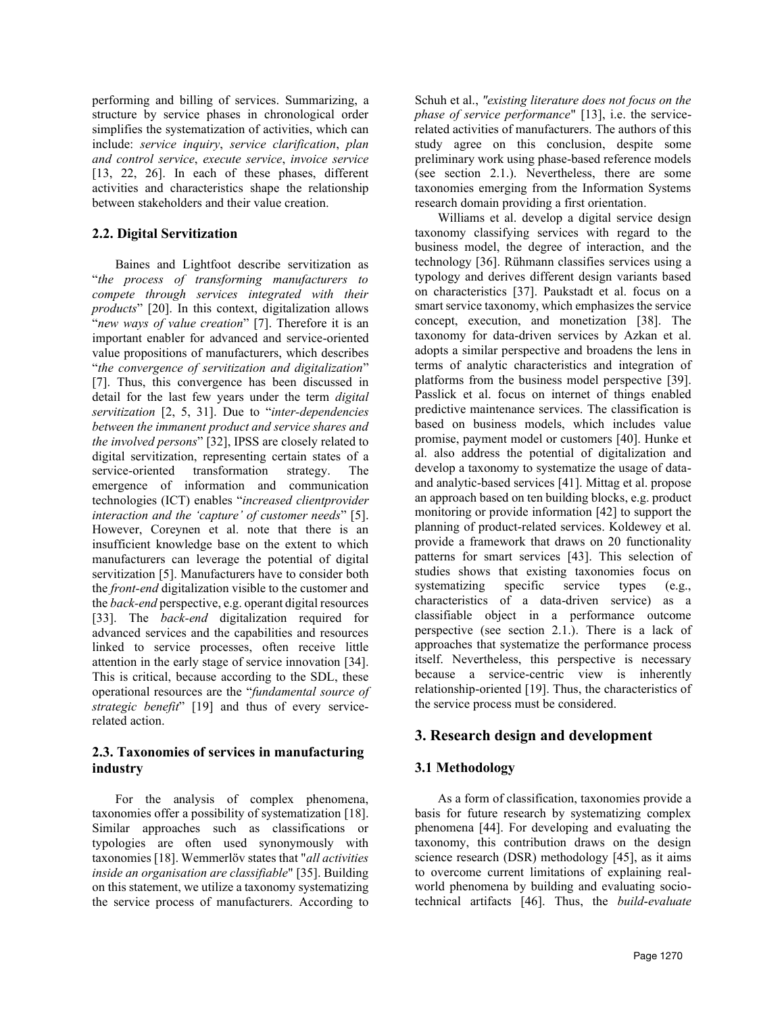performing and billing of services. Summarizing, a structure by service phases in chronological order simplifies the systematization of activities, which can include: *service inquiry*, *service clarification*, *plan and control service*, *execute service*, *invoice service* [13, 22, 26]. In each of these phases, different activities and characteristics shape the relationship between stakeholders and their value creation.

#### **2.2. Digital Servitization**

Baines and Lightfoot describe servitization as "*the process of transforming manufacturers to compete through services integrated with their products*" [20]. In this context, digitalization allows "*new ways of value creation*" [7]. Therefore it is an important enabler for advanced and service-oriented value propositions of manufacturers, which describes "*the convergence of servitization and digitalization*" [7]. Thus, this convergence has been discussed in detail for the last few years under the term *digital servitization* [2, 5, 31]. Due to "*inter-dependencies between the immanent product and service shares and the involved persons*" [32], IPSS are closely related to digital servitization, representing certain states of a service-oriented transformation strategy. The emergence of information and communication technologies (ICT) enables "*increased clientprovider interaction and the 'capture' of customer needs*" [5]. However, Coreynen et al. note that there is an insufficient knowledge base on the extent to which manufacturers can leverage the potential of digital servitization [5]. Manufacturers have to consider both the *front-end* digitalization visible to the customer and the *back-end* perspective, e.g. operant digital resources [33]. The *back-end* digitalization required for advanced services and the capabilities and resources linked to service processes, often receive little attention in the early stage of service innovation [34]. This is critical, because according to the SDL, these operational resources are the "*fundamental source of strategic benefit*" [19] and thus of every servicerelated action.

### **2.3. Taxonomies of services in manufacturing industry**

For the analysis of complex phenomena, taxonomies offer a possibility of systematization [18]. Similar approaches such as classifications or typologies are often used synonymously with taxonomies [18]. Wemmerlöv states that "*all activities inside an organisation are classifiable*" [35]. Building on this statement, we utilize a taxonomy systematizing the service process of manufacturers. According to

Schuh et al., *"existing literature does not focus on the phase of service performance*" [13], i.e. the servicerelated activities of manufacturers. The authors of this study agree on this conclusion, despite some preliminary work using phase-based reference models (see section 2.1.). Nevertheless, there are some taxonomies emerging from the Information Systems research domain providing a first orientation.

Williams et al. develop a digital service design taxonomy classifying services with regard to the business model, the degree of interaction, and the technology [36]. Rühmann classifies services using a typology and derives different design variants based on characteristics [37]. Paukstadt et al. focus on a smart service taxonomy, which emphasizes the service concept, execution, and monetization [38]. The taxonomy for data-driven services by Azkan et al. adopts a similar perspective and broadens the lens in terms of analytic characteristics and integration of platforms from the business model perspective [39]. Passlick et al. focus on internet of things enabled predictive maintenance services. The classification is based on business models, which includes value promise, payment model or customers [40]. Hunke et al. also address the potential of digitalization and develop a taxonomy to systematize the usage of dataand analytic-based services [41]. Mittag et al. propose an approach based on ten building blocks, e.g. product monitoring or provide information [42] to support the planning of product-related services. Koldewey et al. provide a framework that draws on 20 functionality patterns for smart services [43]. This selection of studies shows that existing taxonomies focus on systematizing specific service types (e.g., characteristics of a data-driven service) as a classifiable object in a performance outcome perspective (see section 2.1.). There is a lack of approaches that systematize the performance process itself. Nevertheless, this perspective is necessary because a service-centric view is inherently relationship-oriented [19]. Thus, the characteristics of the service process must be considered.

# **3. Research design and development**

# **3.1 Methodology**

As a form of classification, taxonomies provide a basis for future research by systematizing complex phenomena [44]. For developing and evaluating the taxonomy, this contribution draws on the design science research (DSR) methodology [45], as it aims to overcome current limitations of explaining realworld phenomena by building and evaluating sociotechnical artifacts [46]. Thus, the *build*-*evaluate*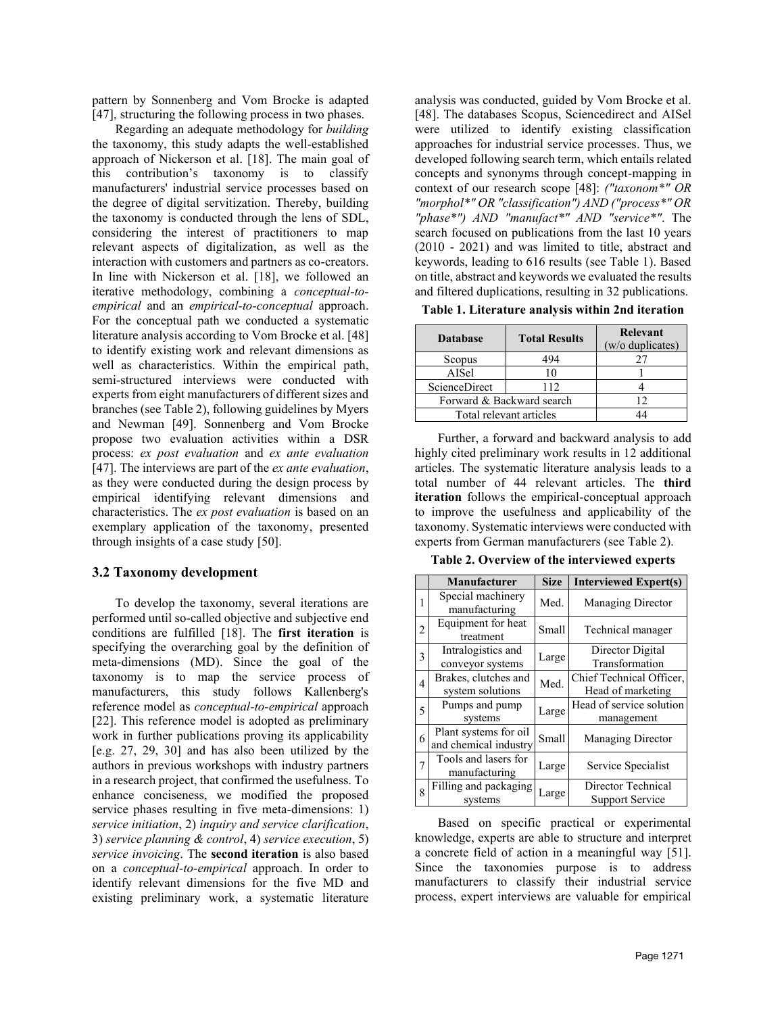pattern by Sonnenberg and Vom Brocke is adapted [47], structuring the following process in two phases.

Regarding an adequate methodology for *building* the taxonomy, this study adapts the well-established approach of Nickerson et al. [18]. The main goal of this contribution's taxonomy is to classify manufacturers' industrial service processes based on the degree of digital servitization. Thereby, building the taxonomy is conducted through the lens of SDL, considering the interest of practitioners to map relevant aspects of digitalization, as well as the interaction with customers and partners as co-creators. In line with Nickerson et al. [18], we followed an iterative methodology, combining a *conceptual-toempirical* and an *empirical-to-conceptual* approach. For the conceptual path we conducted a systematic literature analysis according to Vom Brocke et al. [48] to identify existing work and relevant dimensions as well as characteristics. Within the empirical path, semi-structured interviews were conducted with experts from eight manufacturers of different sizes and branches (see [Table 2\)](#page-3-0), following guidelines by Myers and Newman [49]. Sonnenberg and Vom Brocke propose two evaluation activities within a DSR process: *ex post evaluation* and *ex ante evaluation* [47]. The interviews are part of the *ex ante evaluation*, as they were conducted during the design process by empirical identifying relevant dimensions and characteristics. The *ex post evaluation* is based on an exemplary application of the taxonomy, presented through insights of a case study [50].

#### **3.2 Taxonomy development**

To develop the taxonomy, several iterations are performed until so-called objective and subjective end conditions are fulfilled [18]. The **first iteration** is specifying the overarching goal by the definition of meta-dimensions (MD). Since the goal of the taxonomy is to map the service process of manufacturers, this study follows Kallenberg's reference model as *conceptual-to-empirical* approach [22]. This reference model is adopted as preliminary work in further publications proving its applicability [e.g. 27, 29, 30] and has also been utilized by the authors in previous workshops with industry partners in a research project, that confirmed the usefulness. To enhance conciseness, we modified the proposed service phases resulting in five meta-dimensions: 1) *service initiation*, 2) *inquiry and service clarification*, 3) *service planning & control*, 4) *service execution*, 5) *service invoicing*. The **second iteration** is also based on a *conceptual-to-empirical* approach. In order to identify relevant dimensions for the five MD and existing preliminary work, a systematic literature

analysis was conducted, guided by Vom Brocke et al. [48]. The databases Scopus, Sciencedirect and AISel were utilized to identify existing classification approaches for industrial service processes. Thus, we developed following search term, which entails related concepts and synonyms through concept-mapping in context of our research scope [48]: *("taxonom\*" OR "morphol\*" OR "classification") AND ("process\*" OR "phase\*") AND "manufact\*" AND "service\*"*. The search focused on publications from the last 10 years (2010 - 2021) and was limited to title, abstract and keywords, leading to 616 results (see Table 1). Based on title, abstract and keywords we evaluated the results and filtered duplications, resulting in 32 publications.

**Table 1. Literature analysis within 2nd iteration**

| <b>Database</b>           | <b>Total Results</b> | Relevant<br>(w/o duplicates) |  |  |  |
|---------------------------|----------------------|------------------------------|--|--|--|
| Scopus                    | 194                  |                              |  |  |  |
| AISel                     | 10                   |                              |  |  |  |
| <b>ScienceDirect</b>      | 112                  |                              |  |  |  |
| Forward & Backward search |                      |                              |  |  |  |
| Total relevant articles   |                      |                              |  |  |  |

Further, a forward and backward analysis to add highly cited preliminary work results in 12 additional articles. The systematic literature analysis leads to a total number of 44 relevant articles. The **third iteration** follows the empirical-conceptual approach to improve the usefulness and applicability of the taxonomy. Systematic interviews were conducted with experts from German manufacturers (see Table 2).

<span id="page-3-0"></span>**Table 2. Overview of the interviewed experts**

|   | <b>Manufacturer</b>                            | <b>Size</b> | <b>Interviewed Expert(s)</b>                  |
|---|------------------------------------------------|-------------|-----------------------------------------------|
| 1 | Special machinery<br>manufacturing             | Med.        | <b>Managing Director</b>                      |
| 2 | Equipment for heat<br>treatment                | Small       | Technical manager                             |
| 3 | Intralogistics and<br>conveyor systems         | Large       | Director Digital<br>Transformation            |
| 4 | Brakes, clutches and<br>system solutions       | Med.        | Chief Technical Officer,<br>Head of marketing |
| 5 | Pumps and pump<br>systems                      | Large       | Head of service solution<br>management        |
| 6 | Plant systems for oil<br>and chemical industry | Small       | <b>Managing Director</b>                      |
| 7 | Tools and lasers for<br>manufacturing          | Large       | Service Specialist                            |
| 8 | Filling and packaging<br>systems               | Large       | Director Technical<br><b>Support Service</b>  |

Based on specific practical or experimental knowledge, experts are able to structure and interpret a concrete field of action in a meaningful way [51]. Since the taxonomies purpose is to address manufacturers to classify their industrial service process, expert interviews are valuable for empirical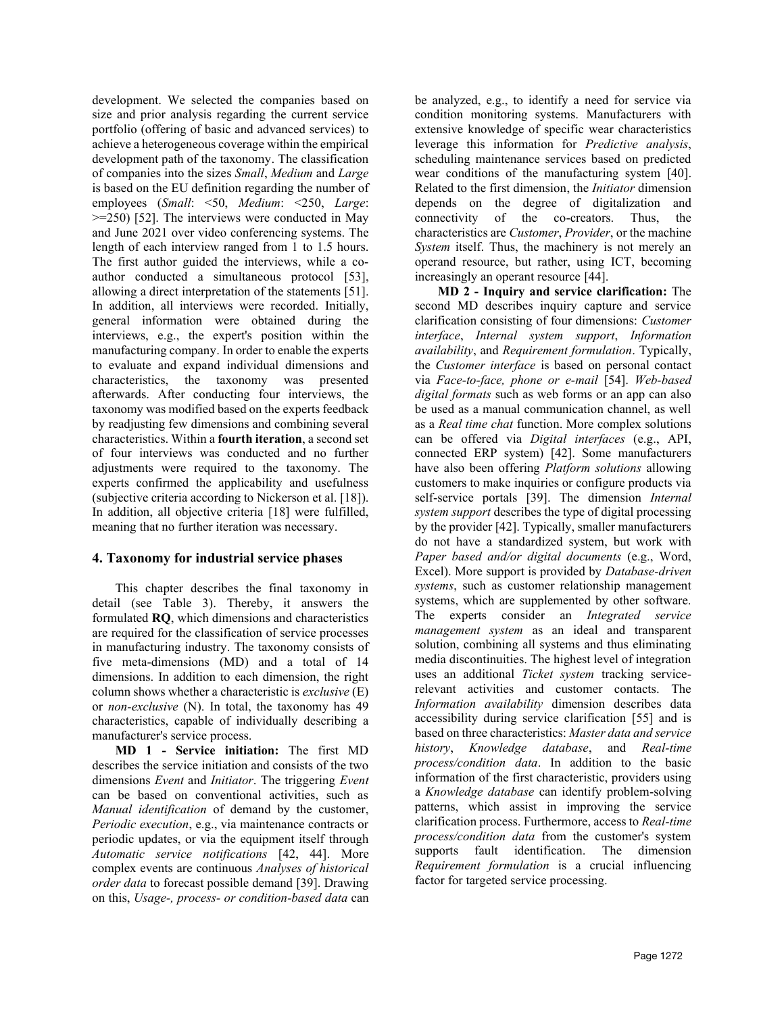development. We selected the companies based on size and prior analysis regarding the current service portfolio (offering of basic and advanced services) to achieve a heterogeneous coverage within the empirical development path of the taxonomy. The classification of companies into the sizes *Small*, *Medium* and *Large* is based on the EU definition regarding the number of employees (*Small*: <50, *Medium*: <250, *Large*: >=250) [52]. The interviews were conducted in May and June 2021 over video conferencing systems. The length of each interview ranged from 1 to 1.5 hours. The first author guided the interviews, while a coauthor conducted a simultaneous protocol [53], allowing a direct interpretation of the statements [51]. In addition, all interviews were recorded. Initially, general information were obtained during the interviews, e.g., the expert's position within the manufacturing company. In order to enable the experts to evaluate and expand individual dimensions and characteristics, the taxonomy was presented afterwards. After conducting four interviews, the taxonomy was modified based on the experts feedback by readjusting few dimensions and combining several characteristics. Within a **fourth iteration**, a second set of four interviews was conducted and no further adjustments were required to the taxonomy. The experts confirmed the applicability and usefulness (subjective criteria according to Nickerson et al. [18]). In addition, all objective criteria [18] were fulfilled, meaning that no further iteration was necessary.

#### **4. Taxonomy for industrial service phases**

This chapter describes the final taxonomy in detail (see Table 3). Thereby, it answers the formulated **RQ**, which dimensions and characteristics are required for the classification of service processes in manufacturing industry. The taxonomy consists of five meta-dimensions (MD) and a total of 14 dimensions. In addition to each dimension, the right column shows whether a characteristic is *exclusive* (E) or *non-exclusive* (N). In total, the taxonomy has 49 characteristics, capable of individually describing a manufacturer's service process.

**MD 1 - Service initiation:** The first MD describes the service initiation and consists of the two dimensions *Event* and *Initiator*. The triggering *Event* can be based on conventional activities, such as *Manual identification* of demand by the customer, *Periodic execution*, e.g., via maintenance contracts or periodic updates, or via the equipment itself through *Automatic service notifications* [42, 44]. More complex events are continuous *Analyses of historical order data* to forecast possible demand [39]. Drawing on this, *Usage-, process- or condition-based data* can be analyzed, e.g., to identify a need for service via condition monitoring systems. Manufacturers with extensive knowledge of specific wear characteristics leverage this information for *Predictive analysis*, scheduling maintenance services based on predicted wear conditions of the manufacturing system [40]. Related to the first dimension, the *Initiator* dimension depends on the degree of digitalization and connectivity of the co-creators. Thus, the characteristics are *Customer*, *Provider*, or the machine *System* itself. Thus, the machinery is not merely an operand resource, but rather, using ICT, becoming increasingly an operant resource [44].

**MD 2 - Inquiry and service clarification:** The second MD describes inquiry capture and service clarification consisting of four dimensions: *Customer interface*, *Internal system support*, *Information availability*, and *Requirement formulation*. Typically, the *Customer interface* is based on personal contact via *Face-to-face, phone or e-mail* [54]. *Web-based digital formats* such as web forms or an app can also be used as a manual communication channel, as well as a *Real time chat* function. More complex solutions can be offered via *Digital interfaces* (e.g., API, connected ERP system) [42]. Some manufacturers have also been offering *Platform solutions* allowing customers to make inquiries or configure products via self-service portals [39]. The dimension *Internal system support* describes the type of digital processing by the provider [42]. Typically, smaller manufacturers do not have a standardized system, but work with *Paper based and/or digital documents* (e.g., Word, Excel). More support is provided by *Database-driven systems*, such as customer relationship management systems, which are supplemented by other software. The experts consider an *Integrated service management system* as an ideal and transparent solution, combining all systems and thus eliminating media discontinuities. The highest level of integration uses an additional *Ticket system* tracking servicerelevant activities and customer contacts. The *Information availability* dimension describes data accessibility during service clarification [55] and is based on three characteristics: *Master data and service history*, *Knowledge database*, and *Real-time process/condition data*. In addition to the basic information of the first characteristic, providers using a *Knowledge database* can identify problem-solving patterns, which assist in improving the service clarification process. Furthermore, access to *Real-time process/condition data* from the customer's system supports fault identification. The dimension *Requirement formulation* is a crucial influencing factor for targeted service processing.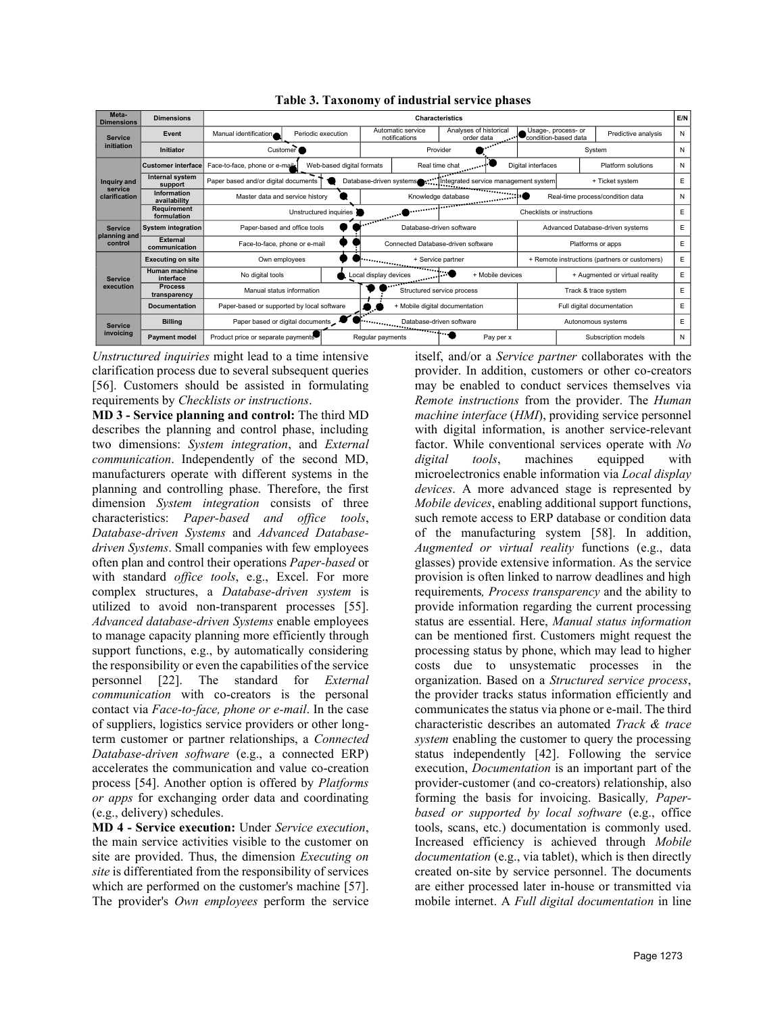| Meta-<br><b>Dimensions</b>                | <b>Dimensions</b>                  | E/N<br><b>Characteristics</b>                               |                                       |                                                                                                                                                                                                                                                     |                                                                            |           |                                               |                                       |                     |   |
|-------------------------------------------|------------------------------------|-------------------------------------------------------------|---------------------------------------|-----------------------------------------------------------------------------------------------------------------------------------------------------------------------------------------------------------------------------------------------------|----------------------------------------------------------------------------|-----------|-----------------------------------------------|---------------------------------------|---------------------|---|
| <b>Service</b><br>initiation              | Event                              | Manual identification                                       | Periodic execution                    |                                                                                                                                                                                                                                                     | Analyses of historical<br>Automatic service<br>notifications<br>order data |           | condition-based data                          | Usage-, process- or                   | Predictive analysis | N |
|                                           | <b>Initiator</b>                   | Customer                                                    |                                       | Provider                                                                                                                                                                                                                                            |                                                                            |           | System                                        |                                       |                     |   |
| Inquiry and<br>service<br>clarification   | <b>Customer interface</b>          | Face-to-face, phone or e-mails<br>Web-based digital formats |                                       |                                                                                                                                                                                                                                                     | Real time chat                                                             |           | Digital interfaces                            | Platform solutions                    |                     | N |
|                                           | Internal system<br>support         | Paper based and/or digital documents                        |                                       | Database-driven systems<br>Integrated service management system                                                                                                                                                                                     |                                                                            |           | + Ticket system                               |                                       | E                   |   |
|                                           | <b>Information</b><br>availability | Master data and service history                             |                                       | Knowledge database<br>danse en en en el filmo de la filmonia de la filmonia de la filmonia de la filmonia de la filmonia de la filmonia de la filmonia de la filmonia de la filmonia de la filmonia de la filmonia de la filmonia de la filmonia de |                                                                            |           |                                               | Real-time process/condition data<br>N |                     |   |
|                                           | <b>Requirement</b><br>formulation  |                                                             | Unstructured inquiries                | <b>Commission Commission</b><br>Checklists or instructions                                                                                                                                                                                          |                                                                            |           |                                               | E                                     |                     |   |
| <b>Service</b><br>planning and<br>control | <b>System integration</b>          | Paper-based and office tools                                |                                       | $\sim$ $\sim$                                                                                                                                                                                                                                       | Database-driven software                                                   |           |                                               | Advanced Database-driven systems      |                     |   |
|                                           | External<br>communication          | Face-to-face, phone or e-mail                               |                                       | Connected Database-driven software                                                                                                                                                                                                                  |                                                                            |           | Platforms or apps                             |                                       |                     |   |
| <b>Service</b><br>execution               | <b>Executing on site</b>           | Own employees                                               | + Service partner                     |                                                                                                                                                                                                                                                     |                                                                            |           | + Remote instructions (partners or customers) |                                       | E                   |   |
|                                           | Human machine<br>interface         | No digital tools                                            |                                       |                                                                                                                                                                                                                                                     | - 8<br>Local display devices<br>+ Mobile devices                           |           |                                               | + Augmented or virtual reality        |                     | E |
|                                           | <b>Process</b><br>transparency     | Manual status information                                   | Structured service process            |                                                                                                                                                                                                                                                     |                                                                            |           | Track & trace system                          |                                       | Ε                   |   |
|                                           | <b>Documentation</b>               | Paper-based or supported by local software                  | + Mobile digital documentation<br>9.9 |                                                                                                                                                                                                                                                     |                                                                            |           | Full digital documentation                    |                                       | Ε                   |   |
| <b>Service</b><br>invoicing               | <b>Billing</b>                     | Paper based or digital documents                            | Database-driven software              |                                                                                                                                                                                                                                                     |                                                                            |           | Autonomous systems                            |                                       | E                   |   |
|                                           | <b>Payment model</b>               | Product price or separate payments                          |                                       | Regular payments                                                                                                                                                                                                                                    |                                                                            | Pay per x |                                               |                                       | Subscription models | N |

**Table 3. Taxonomy of industrial service phases**

*Unstructured inquiries* might lead to a time intensive clarification process due to several subsequent queries [56]. Customers should be assisted in formulating requirements by *Checklists or instructions*.

**MD 3 - Service planning and control:** The third MD describes the planning and control phase, including two dimensions: *System integration*, and *External communication*. Independently of the second MD, manufacturers operate with different systems in the planning and controlling phase. Therefore, the first dimension *System integration* consists of three characteristics: *Paper-based and office tools*, *Database-driven Systems* and *Advanced Databasedriven Systems*. Small companies with few employees often plan and control their operations *Paper-based* or with standard *office tools*, e.g., Excel. For more complex structures, a *Database-driven system* is utilized to avoid non-transparent processes [55]. *Advanced database-driven Systems* enable employees to manage capacity planning more efficiently through support functions, e.g., by automatically considering the responsibility or even the capabilities of the service personnel [22]. The standard for *External communication* with co-creators is the personal contact via *Face-to-face, phone or e-mail*. In the case of suppliers, logistics service providers or other longterm customer or partner relationships, a *Connected Database-driven software* (e.g., a connected ERP) accelerates the communication and value co-creation process [54]. Another option is offered by *Platforms or apps* for exchanging order data and coordinating (e.g., delivery) schedules.

**MD 4 - Service execution:** Under *Service execution*, the main service activities visible to the customer on site are provided. Thus, the dimension *Executing on site* is differentiated from the responsibility of services which are performed on the customer's machine [57]. The provider's *Own employees* perform the service itself, and/or a *Service partner* collaborates with the provider. In addition, customers or other co-creators may be enabled to conduct services themselves via *Remote instructions* from the provider. The *Human machine interface* (*HMI*), providing service personnel with digital information, is another service-relevant factor. While conventional services operate with *No digital tools*, machines equipped with microelectronics enable information via *Local display devices*. A more advanced stage is represented by *Mobile devices*, enabling additional support functions, such remote access to ERP database or condition data of the manufacturing system [58]. In addition, *Augmented or virtual reality* functions (e.g., data glasses) provide extensive information. As the service provision is often linked to narrow deadlines and high requirements*, Process transparency* and the ability to provide information regarding the current processing status are essential. Here, *Manual status information* can be mentioned first. Customers might request the processing status by phone, which may lead to higher costs due to unsystematic processes in the organization. Based on a *Structured service process*, the provider tracks status information efficiently and communicates the status via phone or e-mail. The third characteristic describes an automated *Track & trace system* enabling the customer to query the processing status independently [42]. Following the service execution, *Documentation* is an important part of the provider-customer (and co-creators) relationship, also forming the basis for invoicing. Basically*, Paperbased or supported by local software* (e.g., office tools, scans, etc.) documentation is commonly used. Increased efficiency is achieved through *Mobile documentation* (e.g., via tablet), which is then directly created on-site by service personnel. The documents are either processed later in-house or transmitted via mobile internet. A *Full digital documentation* in line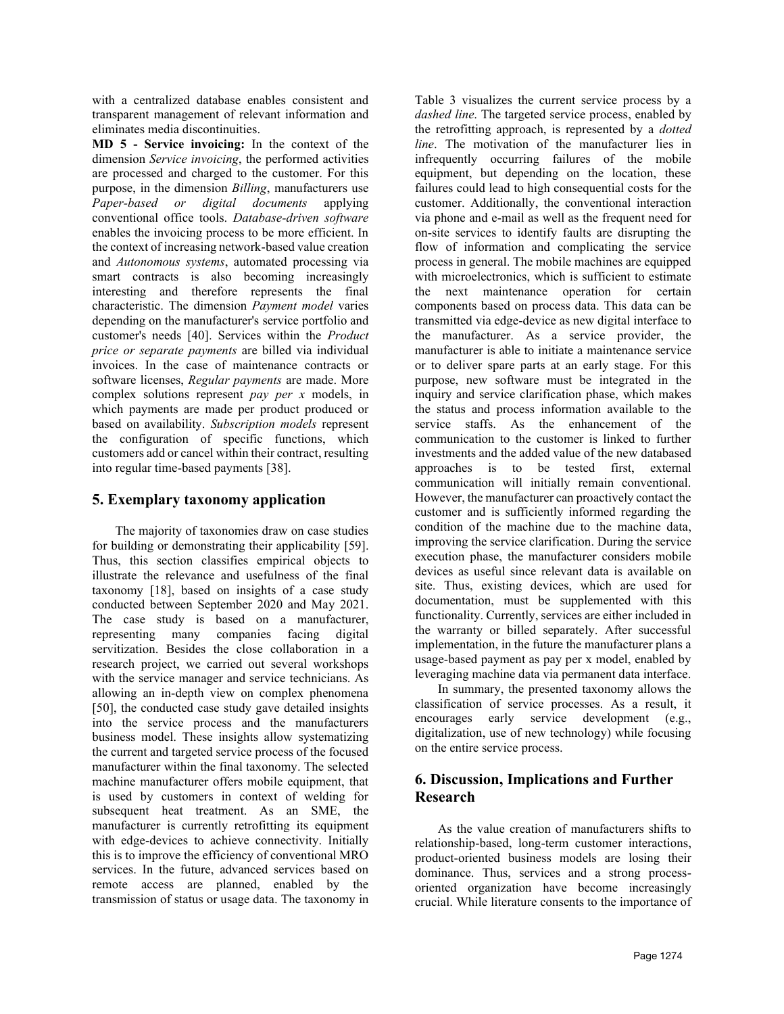with a centralized database enables consistent and transparent management of relevant information and eliminates media discontinuities.

**MD 5 - Service invoicing:** In the context of the dimension *Service invoicing*, the performed activities are processed and charged to the customer. For this purpose, in the dimension *Billing*, manufacturers use *Paper-based or digital documents* applying conventional office tools. *Database-driven software* enables the invoicing process to be more efficient. In the context of increasing network-based value creation and *Autonomous systems*, automated processing via smart contracts is also becoming increasingly interesting and therefore represents the final characteristic. The dimension *Payment model* varies depending on the manufacturer's service portfolio and customer's needs [40]. Services within the *Product price or separate payments* are billed via individual invoices. In the case of maintenance contracts or software licenses, *Regular payments* are made. More complex solutions represent *pay per x* models, in which payments are made per product produced or based on availability. *Subscription models* represent the configuration of specific functions, which customers add or cancel within their contract, resulting into regular time-based payments [38].

## **5. Exemplary taxonomy application**

The majority of taxonomies draw on case studies for building or demonstrating their applicability [59]. Thus, this section classifies empirical objects to illustrate the relevance and usefulness of the final taxonomy [18], based on insights of a case study conducted between September 2020 and May 2021. The case study is based on a manufacturer, representing many companies facing digital servitization. Besides the close collaboration in a research project, we carried out several workshops with the service manager and service technicians. As allowing an in-depth view on complex phenomena [50], the conducted case study gave detailed insights into the service process and the manufacturers business model. These insights allow systematizing the current and targeted service process of the focused manufacturer within the final taxonomy. The selected machine manufacturer offers mobile equipment, that is used by customers in context of welding for subsequent heat treatment. As an SME, the manufacturer is currently retrofitting its equipment with edge-devices to achieve connectivity. Initially this is to improve the efficiency of conventional MRO services. In the future, advanced services based on remote access are planned, enabled by the transmission of status or usage data. The taxonomy in

Table 3 visualizes the current service process by a *dashed line*. The targeted service process, enabled by the retrofitting approach, is represented by a *dotted line*. The motivation of the manufacturer lies in infrequently occurring failures of the mobile equipment, but depending on the location, these failures could lead to high consequential costs for the customer. Additionally, the conventional interaction via phone and e-mail as well as the frequent need for on-site services to identify faults are disrupting the flow of information and complicating the service process in general. The mobile machines are equipped with microelectronics, which is sufficient to estimate the next maintenance operation for certain components based on process data. This data can be transmitted via edge-device as new digital interface to the manufacturer. As a service provider, the manufacturer is able to initiate a maintenance service or to deliver spare parts at an early stage. For this purpose, new software must be integrated in the inquiry and service clarification phase, which makes the status and process information available to the service staffs. As the enhancement of the communication to the customer is linked to further investments and the added value of the new databased approaches is to be tested first, external communication will initially remain conventional. However, the manufacturer can proactively contact the customer and is sufficiently informed regarding the condition of the machine due to the machine data, improving the service clarification. During the service execution phase, the manufacturer considers mobile devices as useful since relevant data is available on site. Thus, existing devices, which are used for documentation, must be supplemented with this functionality. Currently, services are either included in the warranty or billed separately. After successful implementation, in the future the manufacturer plans a usage-based payment as pay per x model, enabled by leveraging machine data via permanent data interface.

In summary, the presented taxonomy allows the classification of service processes. As a result, it encourages early service development (e.g., digitalization, use of new technology) while focusing on the entire service process.

# **6. Discussion, Implications and Further Research**

As the value creation of manufacturers shifts to relationship-based, long-term customer interactions, product-oriented business models are losing their dominance. Thus, services and a strong processoriented organization have become increasingly crucial. While literature consents to the importance of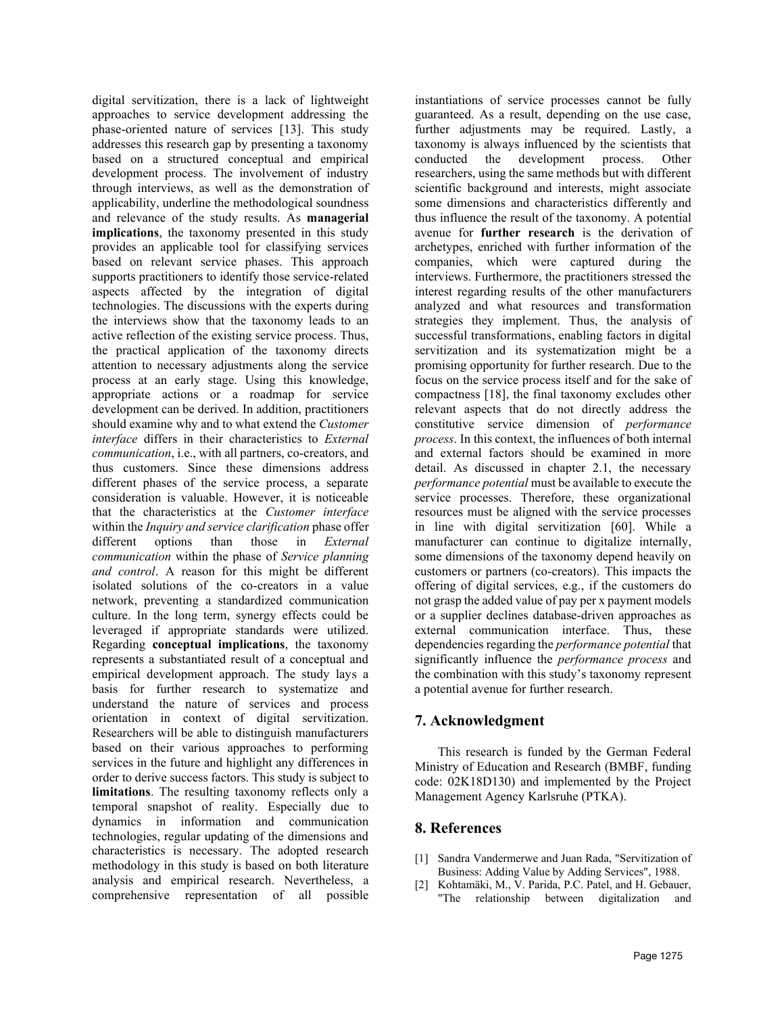digital servitization, there is a lack of lightweight approaches to service development addressing the phase-oriented nature of services [13]. This study addresses this research gap by presenting a taxonomy based on a structured conceptual and empirical development process. The involvement of industry through interviews, as well as the demonstration of applicability, underline the methodological soundness and relevance of the study results. As **managerial implications**, the taxonomy presented in this study provides an applicable tool for classifying services based on relevant service phases. This approach supports practitioners to identify those service-related aspects affected by the integration of digital technologies. The discussions with the experts during the interviews show that the taxonomy leads to an active reflection of the existing service process. Thus, the practical application of the taxonomy directs attention to necessary adjustments along the service process at an early stage. Using this knowledge, appropriate actions or a roadmap for service development can be derived. In addition, practitioners should examine why and to what extend the *Customer interface* differs in their characteristics to *External communication*, i.e., with all partners, co-creators, and thus customers. Since these dimensions address different phases of the service process, a separate consideration is valuable. However, it is noticeable that the characteristics at the *Customer interface* within the *Inquiry and service clarification* phase offer different options than those in *External communication* within the phase of *Service planning and control*. A reason for this might be different isolated solutions of the co-creators in a value network, preventing a standardized communication culture. In the long term, synergy effects could be leveraged if appropriate standards were utilized. Regarding **conceptual implications**, the taxonomy represents a substantiated result of a conceptual and empirical development approach. The study lays a basis for further research to systematize and understand the nature of services and process orientation in context of digital servitization. Researchers will be able to distinguish manufacturers based on their various approaches to performing services in the future and highlight any differences in order to derive success factors. This study is subject to **limitations**. The resulting taxonomy reflects only a temporal snapshot of reality. Especially due to dynamics in information and communication technologies, regular updating of the dimensions and characteristics is necessary. The adopted research methodology in this study is based on both literature analysis and empirical research. Nevertheless, a comprehensive representation of all possible

instantiations of service processes cannot be fully guaranteed. As a result, depending on the use case, further adjustments may be required. Lastly, a taxonomy is always influenced by the scientists that conducted the development process. Other researchers, using the same methods but with different scientific background and interests, might associate some dimensions and characteristics differently and thus influence the result of the taxonomy. A potential avenue for **further research** is the derivation of archetypes, enriched with further information of the companies, which were captured during the interviews. Furthermore, the practitioners stressed the interest regarding results of the other manufacturers analyzed and what resources and transformation strategies they implement. Thus, the analysis of successful transformations, enabling factors in digital servitization and its systematization might be a promising opportunity for further research. Due to the focus on the service process itself and for the sake of compactness [18], the final taxonomy excludes other relevant aspects that do not directly address the constitutive service dimension of *performance process*. In this context, the influences of both internal and external factors should be examined in more detail. As discussed in chapter 2.1, the necessary *performance potential* must be available to execute the service processes. Therefore, these organizational resources must be aligned with the service processes in line with digital servitization [60]. While a manufacturer can continue to digitalize internally, some dimensions of the taxonomy depend heavily on customers or partners (co-creators). This impacts the offering of digital services, e.g., if the customers do not grasp the added value of pay per x payment models or a supplier declines database-driven approaches as external communication interface. Thus, these dependencies regarding the *performance potential* that significantly influence the *performance process* and the combination with this study's taxonomy represent a potential avenue for further research.

### **7. Acknowledgment**

This research is funded by the German Federal Ministry of Education and Research (BMBF, funding code: 02K18D130) and implemented by the Project Management Agency Karlsruhe (PTKA).

### **8. References**

- [1] Sandra Vandermerwe and Juan Rada, "Servitization of Business: Adding Value by Adding Services", 1988.
- [2] Kohtamäki, M., V. Parida, P.C. Patel, and H. Gebauer, "The relationship between digitalization and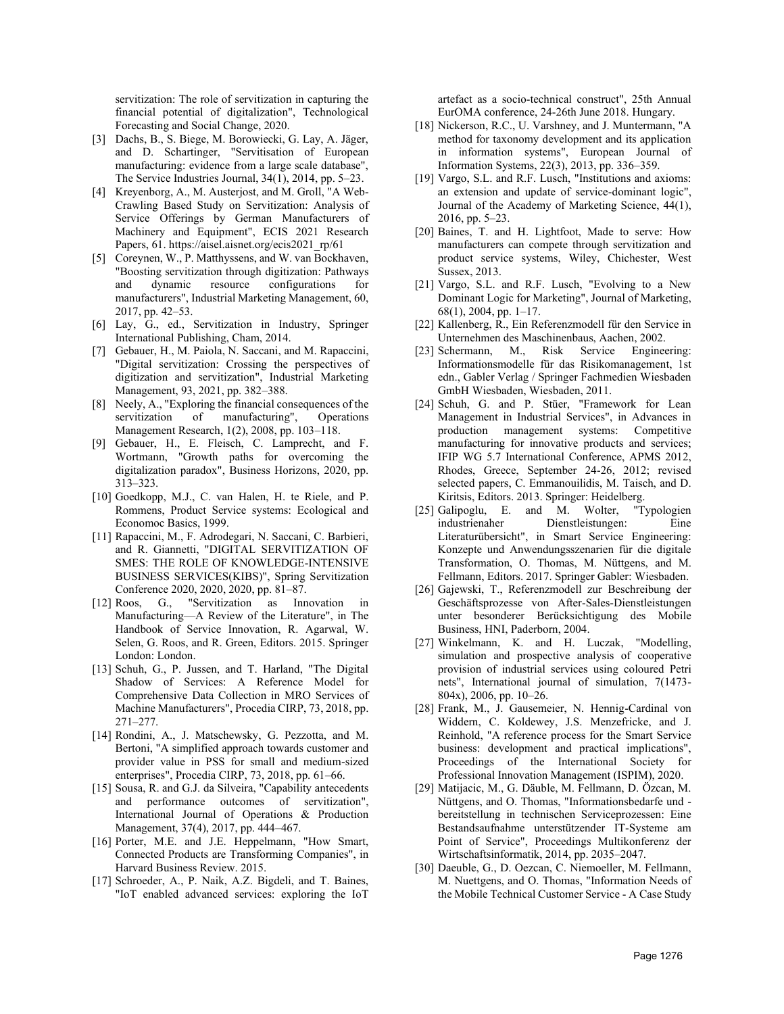servitization: The role of servitization in capturing the financial potential of digitalization", Technological Forecasting and Social Change, 2020.

- [3] Dachs, B., S. Biege, M. Borowiecki, G. Lay, A. Jäger, and D. Schartinger, "Servitisation of European manufacturing: evidence from a large scale database", The Service Industries Journal, 34(1), 2014, pp. 5–23.
- [4] Kreyenborg, A., M. Austerjost, and M. Groll, "A Web-Crawling Based Study on Servitization: Analysis of Service Offerings by German Manufacturers of Machinery and Equipment", ECIS 2021 Research Papers, 61. https://aisel.aisnet.org/ecis2021\_rp/61
- [5] Coreynen, W., P. Matthyssens, and W. van Bockhaven, "Boosting servitization through digitization: Pathways and dynamic resource configurations for manufacturers", Industrial Marketing Management, 60, 2017, pp. 42–53.
- [6] Lay, G., ed., Servitization in Industry, Springer International Publishing, Cham, 2014.
- [7] Gebauer, H., M. Paiola, N. Saccani, and M. Rapaccini, "Digital servitization: Crossing the perspectives of digitization and servitization", Industrial Marketing Management, 93, 2021, pp. 382–388.
- [8] Neely, A., "Exploring the financial consequences of the servitization of manufacturing", Operations Management Research, 1(2), 2008, pp. 103–118.
- [9] Gebauer, H., E. Fleisch, C. Lamprecht, and F. Wortmann, "Growth paths for overcoming the digitalization paradox", Business Horizons, 2020, pp. 313–323.
- [10] Goedkopp, M.J., C. van Halen, H. te Riele, and P. Rommens, Product Service systems: Ecological and Economoc Basics, 1999.
- [11] Rapaccini, M., F. Adrodegari, N. Saccani, C. Barbieri, and R. Giannetti, "DIGITAL SERVITIZATION OF SMES: THE ROLE OF KNOWLEDGE-INTENSIVE BUSINESS SERVICES(KIBS)", Spring Servitization Conference 2020, 2020, 2020, pp. 81–87.
- [12] Roos, G., "Servitization as Innovation in Manufacturing—A Review of the Literature", in The Handbook of Service Innovation, R. Agarwal, W. Selen, G. Roos, and R. Green, Editors. 2015. Springer London: London.
- [13] Schuh, G., P. Jussen, and T. Harland, "The Digital Shadow of Services: A Reference Model for Comprehensive Data Collection in MRO Services of Machine Manufacturers", Procedia CIRP, 73, 2018, pp. 271–277.
- [14] Rondini, A., J. Matschewsky, G. Pezzotta, and M. Bertoni, "A simplified approach towards customer and provider value in PSS for small and medium-sized enterprises", Procedia CIRP, 73, 2018, pp. 61–66.
- [15] Sousa, R. and G.J. da Silveira, "Capability antecedents and performance outcomes of servitization", International Journal of Operations & Production Management, 37(4), 2017, pp. 444–467.
- [16] Porter, M.E. and J.E. Heppelmann, "How Smart, Connected Products are Transforming Companies", in Harvard Business Review. 2015.
- [17] Schroeder, A., P. Naik, A.Z. Bigdeli, and T. Baines, "IoT enabled advanced services: exploring the IoT

artefact as a socio-technical construct", 25th Annual EurOMA conference, 24-26th June 2018. Hungary.

- [18] Nickerson, R.C., U. Varshney, and J. Muntermann, "A method for taxonomy development and its application in information systems", European Journal Information Systems, 22(3), 2013, pp. 336–359.
- [19] Vargo, S.L. and R.F. Lusch, "Institutions and axioms: an extension and update of service-dominant logic", Journal of the Academy of Marketing Science, 44(1), 2016, pp. 5–23.
- [20] Baines, T. and H. Lightfoot, Made to serve: How manufacturers can compete through servitization and product service systems, Wiley, Chichester, West Sussex, 2013.
- [21] Vargo, S.L. and R.F. Lusch, "Evolving to a New Dominant Logic for Marketing", Journal of Marketing, 68(1), 2004, pp. 1–17.
- [22] Kallenberg, R., Ein Referenzmodell für den Service in Unternehmen des Maschinenbaus, Aachen, 2002.
- [23] Schermann, M., Risk Service Engineering: Informationsmodelle für das Risikomanagement, 1st edn., Gabler Verlag / Springer Fachmedien Wiesbaden GmbH Wiesbaden, Wiesbaden, 2011.
- [24] Schuh, G. and P. Stüer, "Framework for Lean Management in Industrial Services", in Advances in production management systems: Competitive manufacturing for innovative products and services; IFIP WG 5.7 International Conference, APMS 2012, Rhodes, Greece, September 24-26, 2012; revised selected papers, C. Emmanouilidis, M. Taisch, and D. Kiritsis, Editors. 2013. Springer: Heidelberg.
- [25] Galipoglu, E. and M. Wolter, "Typologien industrienaher Dienstleistungen: Eine Literaturübersicht", in Smart Service Engineering: Konzepte und Anwendungsszenarien für die digitale Transformation, O. Thomas, M. Nüttgens, and M. Fellmann, Editors. 2017. Springer Gabler: Wiesbaden.
- [26] Gajewski, T., Referenzmodell zur Beschreibung der Geschäftsprozesse von After-Sales-Dienstleistungen unter besonderer Berücksichtigung des Mobile Business, HNI, Paderborn, 2004.
- [27] Winkelmann, K. and H. Luczak, "Modelling, simulation and prospective analysis of cooperative provision of industrial services using coloured Petri nets", International journal of simulation, 7(1473- 804x), 2006, pp. 10–26.
- [28] Frank, M., J. Gausemeier, N. Hennig-Cardinal von Widdern, C. Koldewey, J.S. Menzefricke, and J. Reinhold, "A reference process for the Smart Service business: development and practical implications", Proceedings of the International Society for Professional Innovation Management (ISPIM), 2020.
- [29] Matijacic, M., G. Däuble, M. Fellmann, D. Özcan, M. Nüttgens, and O. Thomas, "Informationsbedarfe und bereitstellung in technischen Serviceprozessen: Eine Bestandsaufnahme unterstützender IT-Systeme am Point of Service", Proceedings Multikonferenz der Wirtschaftsinformatik, 2014, pp. 2035–2047.
- [30] Daeuble, G., D. Oezcan, C. Niemoeller, M. Fellmann, M. Nuettgens, and O. Thomas, "Information Needs of the Mobile Technical Customer Service - A Case Study